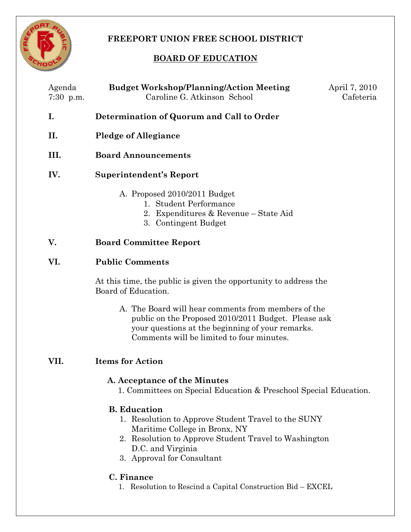

# **FREEPORT UNION FREE SCHOOL DISTRICT**

# **BOARD OF EDUCATION**

| Agenda<br>$7:30$ p.m. | <b>Budget Workshop/Planning/Action Meeting</b><br>Caroline G. Atkinson School                                                                                                                                           | April 7, 2010<br>Cafeteria |
|-----------------------|-------------------------------------------------------------------------------------------------------------------------------------------------------------------------------------------------------------------------|----------------------------|
| I.                    | Determination of Quorum and Call to Order                                                                                                                                                                               |                            |
| П.                    | <b>Pledge of Allegiance</b>                                                                                                                                                                                             |                            |
| III.                  | <b>Board Announcements</b>                                                                                                                                                                                              |                            |
| IV.                   | <b>Superintendent's Report</b>                                                                                                                                                                                          |                            |
|                       | A. Proposed 2010/2011 Budget<br>1. Student Performance<br>2. Expenditures & Revenue - State Aid<br>3. Contingent Budget                                                                                                 |                            |
| V.                    | <b>Board Committee Report</b>                                                                                                                                                                                           |                            |
| VI.                   | <b>Public Comments</b><br>At this time, the public is given the opportunity to address the<br>Board of Education.                                                                                                       |                            |
|                       |                                                                                                                                                                                                                         |                            |
|                       | A. The Board will hear comments from members of the<br>public on the Proposed 2010/2011 Budget. Please ask<br>your questions at the beginning of your remarks.<br>Comments will be limited to four minutes.             |                            |
| VII.                  | <b>Items for Action</b>                                                                                                                                                                                                 |                            |
|                       | A. Acceptance of the Minutes<br>1. Committees on Special Education & Preschool Special Education.                                                                                                                       |                            |
|                       | <b>B.</b> Education<br>1. Resolution to Approve Student Travel to the SUNY<br>Maritime College in Bronx, NY<br>2. Resolution to Approve Student Travel to Washington<br>D.C. and Virginia<br>3. Approval for Consultant |                            |
|                       | C. Finance<br>1. Resolution to Rescind a Capital Construction Bid – EXCEL                                                                                                                                               |                            |